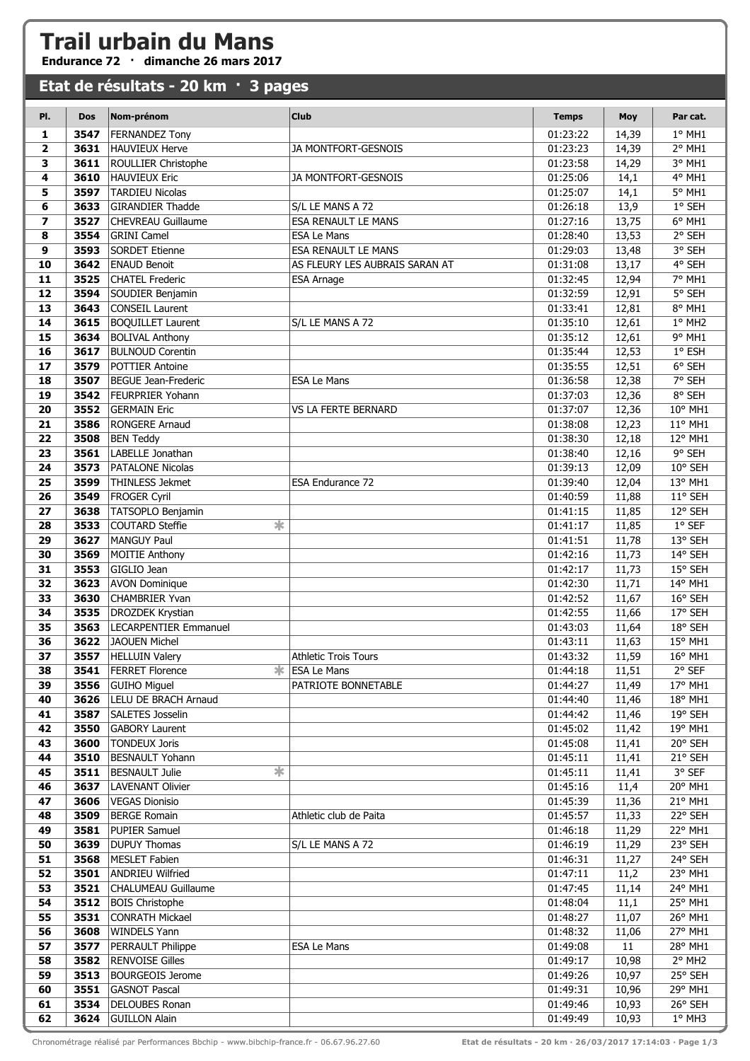## **Trail urbain du Mans**

**Endurance 72 · dimanche 26 mars 2017**

## **Etat de résultats - 20 km · 3 pages**

| PI.                      | <b>Dos</b>   | Nom-prénom                                        | <b>Club</b>                                                   | <b>Temps</b>         | <b>Moy</b>     | Par cat.           |
|--------------------------|--------------|---------------------------------------------------|---------------------------------------------------------------|----------------------|----------------|--------------------|
| 1                        | 3547         | <b>FERNANDEZ Tony</b>                             |                                                               | 01:23:22             | 14,39          | $1°$ MH $1$        |
| $\overline{\mathbf{2}}$  | 3631         | <b>HAUVIEUX Herve</b>                             | JA MONTFORT-GESNOIS                                           | 01:23:23             | 14,39          | 2° MH1             |
| 3                        | 3611         | ROULLIER Christophe                               |                                                               | 01:23:58             | 14,29          | 3° MH1             |
| 4                        | 3610         | <b>HAUVIEUX Eric</b>                              | JA MONTFORT-GESNOIS                                           | 01:25:06             | 14,1           | 4° MH1             |
| 5                        | 3597         | <b>TARDIEU Nicolas</b>                            |                                                               | 01:25:07             | 14,1           | 5° MH1             |
| 6                        | 3633         | <b>GIRANDIER Thadde</b>                           | S/L LE MANS A 72                                              | 01:26:18             | 13,9           | 1° SEH             |
| $\overline{\phantom{a}}$ | 3527         | <b>CHEVREAU Guillaume</b>                         | <b>ESA RENAULT LE MANS</b>                                    | 01:27:16             | 13,75          | 6° MH1             |
| 8                        | 3554         | <b>GRINI Camel</b>                                | <b>ESA Le Mans</b>                                            | 01:28:40             | 13,53          | 2° SEH             |
| 9                        | 3593         | <b>SORDET Etienne</b>                             | <b>ESA RENAULT LE MANS</b>                                    | 01:29:03             | 13,48          | 3° SEH             |
| 10                       | 3642         | <b>ENAUD Benoit</b>                               | AS FLEURY LES AUBRAIS SARAN AT                                | 01:31:08             | 13,17          | 4° SEH             |
| 11                       | 3525         | <b>CHATEL Frederic</b>                            | <b>ESA Arnage</b>                                             | 01:32:45             | 12,94          | 7° MH1             |
| 12                       | 3594         | SOUDIER Benjamin                                  |                                                               | 01:32:59             | 12,91          | 5° SEH             |
| 13                       | 3643         | <b>CONSEIL Laurent</b>                            |                                                               | 01:33:41             | 12,81          | 8° MH1             |
| 14                       | 3615         | <b>BOQUILLET Laurent</b>                          | S/L LE MANS A 72                                              | 01:35:10             | 12,61          | 1° MH2             |
| 15<br>16                 | 3634<br>3617 | <b>BOLIVAL Anthony</b><br><b>BULNOUD Corentin</b> |                                                               | 01:35:12             | 12,61          | 9° MH1<br>1° ESH   |
| 17                       | 3579         | <b>POTTIER Antoine</b>                            |                                                               | 01:35:44<br>01:35:55 | 12,53<br>12,51 | 6° SEH             |
| 18                       | 3507         | <b>BEGUE Jean-Frederic</b>                        | <b>ESA Le Mans</b>                                            | 01:36:58             | 12,38          | 7° SEH             |
| 19                       | 3542         | <b>FEURPRIER Yohann</b>                           |                                                               | 01:37:03             | 12,36          | 8° SEH             |
| 20                       | 3552         | <b>GERMAIN Eric</b>                               | <b>VS LA FERTE BERNARD</b>                                    | 01:37:07             | 12,36          | 10° MH1            |
| 21                       | 3586         | <b>RONGERE Arnaud</b>                             |                                                               | 01:38:08             | 12,23          | 11° MH1            |
| 22                       | 3508         | <b>BEN Teddy</b>                                  |                                                               | 01:38:30             | 12,18          | $12^{\circ}$ MH1   |
| 23                       | 3561         | LABELLE Jonathan                                  |                                                               | 01:38:40             | 12,16          | 9° SEH             |
| 24                       | 3573         | <b>PATALONE Nicolas</b>                           |                                                               | 01:39:13             | 12,09          | 10° SEH            |
| 25                       | 3599         | THINLESS Jekmet                                   | <b>ESA Endurance 72</b>                                       | 01:39:40             | 12,04          | 13° MH1            |
| 26                       | 3549         | <b>FROGER Cyril</b>                               |                                                               | 01:40:59             | 11,88          | 11° SEH            |
| 27                       | 3638         | TATSOPLO Benjamin                                 |                                                               | 01:41:15             | 11,85          | 12° SEH            |
| 28                       | 3533         | $\ast$<br><b>COUTARD Steffie</b>                  |                                                               | 01:41:17             | 11,85          | $1°$ SEF           |
| 29                       | 3627         | <b>MANGUY Paul</b>                                |                                                               | 01:41:51             | 11,78          | 13° SEH            |
| 30                       | 3569         | <b>MOITIE Anthony</b>                             |                                                               | 01:42:16             | 11,73          | 14° SEH            |
| 31                       | 3553         | GIGLIO Jean                                       |                                                               | 01:42:17             | 11,73          | 15° SEH            |
| 32                       | 3623         | <b>AVON Dominique</b>                             |                                                               | 01:42:30             | 11,71          | 14° MH1            |
| 33                       | 3630         | <b>CHAMBRIER Yvan</b>                             |                                                               | 01:42:52             | 11,67          | 16° SEH            |
| 34                       | 3535         | <b>DROZDEK Krystian</b>                           |                                                               | 01:42:55             | 11,66          | 17° SEH            |
| 35                       | 3563         | <b>LECARPENTIER Emmanuel</b>                      |                                                               | 01:43:03             | 11,64          | 18° SEH            |
| 36<br>37                 | 3622<br>3557 | <b>JAOUEN Michel</b>                              |                                                               | 01:43:11             | 11,63<br>11,59 | 15° MH1<br>16° MH1 |
| 38                       | 3541         | <b>HELLUIN Valery</b><br><b>FERRET Florence</b>   | <b>Athletic Trois Tours</b><br><b><del></del></b> ESA Le Mans | 01:43:32<br>01:44:18 | 11,51          | 2° SEF             |
| 39                       | 3556         | <b>GUIHO Miguel</b>                               | PATRIOTE BONNETABLE                                           | 01:44:27             | 11,49          | 17° MH1            |
| 40                       | 3626         | LELU DE BRACH Arnaud                              |                                                               | 01:44:40             | 11,46          | 18° MH1            |
| 41                       | 3587         | <b>SALETES Josselin</b>                           |                                                               | 01:44:42             | 11,46          | 19° SEH            |
| 42                       | 3550         | <b>GABORY Laurent</b>                             |                                                               | 01:45:02             | 11,42          | 19° MH1            |
| 43                       | 3600         | <b>TONDEUX Joris</b>                              |                                                               | 01:45:08             | 11,41          | 20° SEH            |
| 44                       | 3510         | <b>BESNAULT Yohann</b>                            |                                                               | 01:45:11             | 11,41          | 21° SEH            |
| 45                       | 3511         | $\overline{\ast}$<br><b>BESNAULT Julie</b>        |                                                               | 01:45:11             | 11,41          | 3° SEF             |
| 46                       | 3637         | <b>LAVENANT Olivier</b>                           |                                                               | 01:45:16             | 11,4           | 20° MH1            |
| 47                       | 3606         | <b>VEGAS Dionisio</b>                             |                                                               | 01:45:39             | 11,36          | 21° MH1            |
| 48                       | 3509         | <b>BERGE Romain</b>                               | Athletic club de Paita                                        | 01:45:57             | 11,33          | 22° SEH            |
| 49                       | 3581         | <b>PUPIER Samuel</b>                              |                                                               | 01:46:18             | 11,29          | 22° MH1            |
| 50                       | 3639         | <b>DUPUY Thomas</b>                               | S/L LE MANS A 72                                              | 01:46:19             | 11,29          | 23° SEH            |
| 51                       | 3568         | MESLET Fabien                                     |                                                               | 01:46:31             | 11,27          | 24° SEH            |
| 52                       | 3501         | <b>ANDRIEU Wilfried</b>                           |                                                               | 01:47:11             | 11,2           | 23° MH1            |
| 53                       | 3521         | <b>CHALUMEAU Guillaume</b>                        |                                                               | 01:47:45             | 11,14          | 24° MH1            |
| 54                       | 3512         | <b>BOIS Christophe</b>                            |                                                               | 01:48:04             | 11,1           | 25° MH1            |
| 55                       | 3531         | <b>CONRATH Mickael</b>                            |                                                               | 01:48:27             | 11,07          | 26° MH1            |
| 56                       | 3608         | <b>WINDELS Yann</b>                               |                                                               | 01:48:32             | 11,06          | 27° MH1            |
| 57                       | 3577         | PERRAULT Philippe<br><b>RENVOISE Gilles</b>       | <b>ESA Le Mans</b>                                            | 01:49:08             | 11             | 28° MH1<br>2° MH2  |
| 58<br>59                 | 3582<br>3513 | <b>BOURGEOIS Jerome</b>                           |                                                               | 01:49:17<br>01:49:26 | 10,98<br>10,97 | 25° SEH            |
| 60                       | 3551         | <b>GASNOT Pascal</b>                              |                                                               | 01:49:31             | 10,96          | 29° MH1            |
| 61                       | 3534         | <b>DELOUBES Ronan</b>                             |                                                               | 01:49:46             | 10,93          | 26° SEH            |
| 62                       |              | 3624 GUILLON Alain                                |                                                               | 01:49:49             | 10,93          | $1°$ MH3           |

Chronométrage réalisé par Performances Bbchip - www.bibchip-france.fr - 06.67.96.27.60 **Etat de résultats - 20 km · 26/03/2017 17:14:03 · Page 1/3**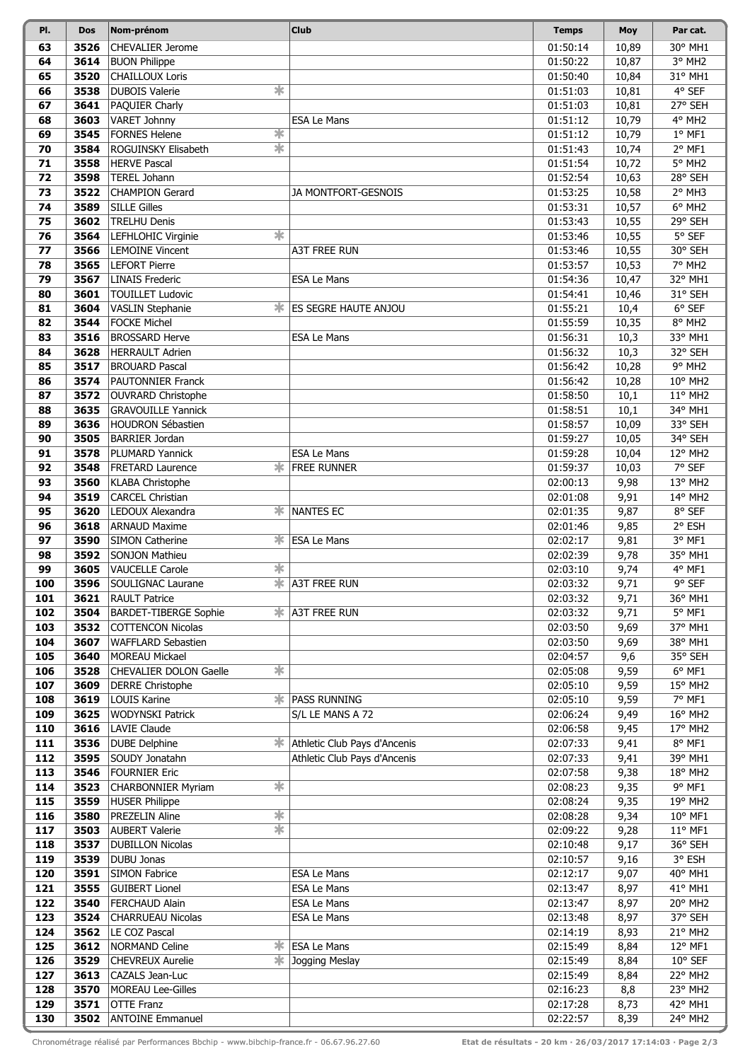| PI.      | <b>Dos</b>   | Nom-prénom                                           | <b>Club</b>                     | <b>Temps</b>         | Moy          | Par cat.           |
|----------|--------------|------------------------------------------------------|---------------------------------|----------------------|--------------|--------------------|
| 63       | 3526         | <b>CHEVALIER Jerome</b>                              |                                 | 01:50:14             | 10,89        | 30° MH1            |
| 64       | 3614         | <b>BUON Philippe</b>                                 |                                 | 01:50:22             | 10,87        | 3° MH <sub>2</sub> |
| 65       | 3520         | <b>CHAILLOUX Loris</b>                               |                                 | 01:50:40             | 10,84        | 31° MH1            |
| 66       | 3538         | $\ast$<br><b>DUBOIS Valerie</b>                      |                                 | 01:51:03             | 10,81        | 4° SEF             |
| 67       | 3641         | PAQUIER Charly                                       |                                 | 01:51:03             | 10,81        | 27° SEH            |
| 68       | 3603         | VARET Johnny                                         | <b>ESA Le Mans</b>              | 01:51:12             | 10,79        | 4° MH2             |
| 69       | 3545         | ☀<br><b>FORNES Helene</b>                            |                                 | 01:51:12             | 10,79        | $1°$ MF1           |
| 70       | 3584         | $\overline{\ast}$<br>ROGUINSKY Elisabeth             |                                 | 01:51:43             | 10,74        | 2° MF1             |
| 71       | 3558         | <b>HERVE Pascal</b>                                  |                                 | 01:51:54             | 10,72        | 5° MH <sub>2</sub> |
| 72       | 3598         | <b>TEREL Johann</b>                                  |                                 | 01:52:54             | 10,63        | 28° SEH            |
| 73       | 3522         | <b>CHAMPION Gerard</b>                               | JA MONTFORT-GESNOIS             | 01:53:25             | 10,58        | 2° MH3             |
| 74       | 3589         | <b>SILLE Gilles</b>                                  |                                 | 01:53:31             | 10,57        | 6° MH2             |
| 75       | 3602         | <b>TRELHU Denis</b>                                  |                                 | 01:53:43             | 10,55        | 29° SEH            |
| 76       | 3564         | ☀<br>LEFHLOHIC Virginie                              |                                 | 01:53:46             | 10,55        | 5° SEF             |
| 77       | 3566         | <b>LEMOINE Vincent</b>                               | <b>A3T FREE RUN</b>             | 01:53:46             | 10,55        | 30° SEH            |
| 78       | 3565         | <b>LEFORT Pierre</b>                                 |                                 | 01:53:57             | 10,53        | 7° MH2             |
| 79       | 3567         | <b>LINAIS Frederic</b>                               | <b>ESA Le Mans</b>              | 01:54:36             | 10,47        | 32° MH1            |
| 80       | 3601         | <b>TOUILLET Ludovic</b>                              |                                 | 01:54:41             | 10,46        | 31° SEH            |
| 81       | 3604         | <b>VASLIN Stephanie</b>                              | ES SEGRE HAUTE ANJOU            | 01:55:21             | 10,4         | $6°$ SEF           |
| 82       | 3544         | <b>FOCKE Michel</b>                                  |                                 | 01:55:59             | 10,35        | 8° MH2             |
| 83       | 3516         | <b>BROSSARD Herve</b>                                | <b>ESA Le Mans</b>              | 01:56:31             | 10,3         | 33° MH1            |
| 84       | 3628         | <b>HERRAULT Adrien</b>                               |                                 | 01:56:32             | 10,3         | 32° SEH            |
| 85       | 3517         | <b>BROUARD Pascal</b>                                |                                 | 01:56:42             | 10,28        | 9° MH2             |
| 86       | 3574         | <b>PAUTONNIER Franck</b>                             |                                 | 01:56:42             | 10,28        | 10° MH2            |
| 87       | 3572         | OUVRARD Christophe                                   |                                 | 01:58:50             | 10,1         | 11° MH2            |
| 88       | 3635         | <b>GRAVOUILLE Yannick</b>                            |                                 | 01:58:51             | 10,1         | 34° MH1            |
| 89       | 3636         | HOUDRON Sébastien                                    |                                 | 01:58:57             | 10,09        | 33° SEH            |
| 90       | 3505         | <b>BARRIER Jordan</b>                                |                                 | 01:59:27             | 10,05        | 34° SEH            |
| 91       | 3578         | PLUMARD Yannick                                      | <b>ESA Le Mans</b>              | 01:59:28             | 10,04        | 12° MH2            |
| 92       | 3548         | $\ast$<br><b>FRETARD Laurence</b>                    | <b>FREE RUNNER</b>              | 01:59:37             | 10,03        | 7° SEF             |
| 93       | 3560         | <b>KLABA Christophe</b>                              |                                 | 02:00:13             | 9,98         | 13° MH2            |
| 94       | 3519         | <b>CARCEL Christian</b><br>∗.                        |                                 | 02:01:08             | 9,91         | 14° MH2            |
| 95       | 3620         | LEDOUX Alexandra                                     | <b>NANTES EC</b>                | 02:01:35             | 9,87         | 8° SEF<br>2° ESH   |
| 96<br>97 | 3618<br>3590 | <b>ARNAUD Maxime</b><br><b>SIMON Catherine</b><br>ж. | <b>ESA Le Mans</b>              | 02:01:46<br>02:02:17 | 9,85<br>9,81 | 3° MF1             |
| 98       | 3592         | <b>SONJON Mathieu</b>                                |                                 | 02:02:39             | 9,78         | 35° MH1            |
| 99       | 3605         | 宋<br><b>VAUCELLE Carole</b>                          |                                 | 02:03:10             | 9,74         | 4° MF1             |
| 100      | 3596         | SOULIGNAC Laurane                                    | <b>* A3T FREE RUN</b>           | 02:03:32             | 9,71         | 9° SEF             |
| 101      | 3621         | <b>RAULT Patrice</b>                                 |                                 | 02:03:32             | 9,71         | 36° MH1            |
| 102      | 3504         | <b>BARDET-TIBERGE Sophie</b>                         | <b><del></del></b> A3T FREE RUN | 02:03:32             | 9,71         | $5^{\circ}$ MF1    |
| 103      | 3532         | COTTENCON Nicolas                                    |                                 | 02:03:50             | 9,69         | 37° MH1            |
| 104      | 3607         | <b>WAFFLARD Sebastien</b>                            |                                 | 02:03:50             | 9,69         | 38° MH1            |
| 105      | 3640         | <b>MOREAU Mickael</b>                                |                                 | 02:04:57             | 9,6          | 35° SEH            |
| 106      | 3528         | ☀<br>CHEVALIER DOLON Gaelle                          |                                 | 02:05:08             | 9,59         | $6^{\circ}$ MF1    |
| 107      | 3609         | <b>DERRE Christophe</b>                              |                                 | 02:05:10             | 9,59         | 15° MH2            |
| 108      | 3619         | <b>LOUIS Karine</b><br>* !                           | <b>PASS RUNNING</b>             | 02:05:10             | 9,59         | 7° MF1             |
| 109      | 3625         | <b>WODYNSKI Patrick</b>                              | S/L LE MANS A 72                | 02:06:24             | 9,49         | 16° MH2            |
| 110      | 3616         | <b>LAVIE Claude</b>                                  |                                 | 02:06:58             | 9,45         | 17° MH2            |
| 111      | 3536         | <b>DUBE Delphine</b><br>ж.                           | Athletic Club Pays d'Ancenis    | 02:07:33             | 9,41         | 8° MF1             |
| 112      | 3595         | SOUDY Jonatahn                                       | Athletic Club Pays d'Ancenis    | 02:07:33             | 9,41         | 39° MH1            |
| 113      | 3546         | <b>FOURNIER Eric</b>                                 |                                 | 02:07:58             | 9,38         | 18° MH2            |
| 114      | 3523         | ∗<br><b>CHARBONNIER Myriam</b>                       |                                 | 02:08:23             | 9,35         | 9° MF1             |
| 115      | 3559         | <b>HUSER Philippe</b>                                |                                 | 02:08:24             | 9,35         | 19° MH2            |
| 116      | 3580         | ☀<br>PREZELIN Aline                                  |                                 | 02:08:28             | 9,34         | 10° MF1            |
| 117      | 3503         | $\ddot{\ast}$<br><b>AUBERT Valerie</b>               |                                 | 02:09:22             | 9,28         | 11° MF1            |
| 118      | 3537         | <b>DUBILLON Nicolas</b>                              |                                 | 02:10:48             | 9,17         | 36° SEH            |
| 119      | 3539         | DUBU Jonas                                           |                                 | 02:10:57             | 9,16         | 3° ESH             |
| 120      | 3591         | <b>SIMON Fabrice</b>                                 | <b>ESA Le Mans</b>              | 02:12:17             | 9,07         | 40° MH1            |
| 121      | 3555         | <b>GUIBERT Lionel</b>                                | <b>ESA Le Mans</b>              | 02:13:47             | 8,97         | 41° MH1            |
| 122      | 3540         | FERCHAUD Alain                                       | <b>ESA Le Mans</b>              | 02:13:47             | 8,97         | 20° MH2            |
| 123      | 3524         | <b>CHARRUEAU Nicolas</b>                             | <b>ESA Le Mans</b>              | 02:13:48             | 8,97         | 37° SEH            |
| 124      | 3562         | LE COZ Pascal                                        |                                 | 02:14:19             | 8,93         | 21° MH2            |
| 125      | 3612         | 米<br><b>NORMAND Celine</b>                           | <b>ESA Le Mans</b>              | 02:15:49             | 8,84         | 12° MF1            |
| 126      | 3529         | $\ast$<br><b>CHEVREUX Aurelie</b>                    | Jogging Meslay                  | 02:15:49             | 8,84         | 10° SEF            |
| 127      | 3613         | CAZALS Jean-Luc                                      |                                 | 02:15:49             | 8,84         | 22° MH2            |
| 128      | 3570         | <b>MOREAU Lee-Gilles</b>                             |                                 | 02:16:23             | 8,8          | 23° MH2            |
| 129      | 3571         | <b>OTTE Franz</b>                                    |                                 | 02:17:28             | 8,73         | 42° MH1            |
| 130      | 3502         | <b>ANTOINE Emmanuel</b>                              |                                 | 02:22:57             | 8,39         | 24° MH2            |

Chronométrage réalisé par Performances Bbchip - www.bibchip-france.fr - 06.67.96.27.60 **Etat de résultats - 20 km · 26/03/2017 17:14:03 · Page 2/3**